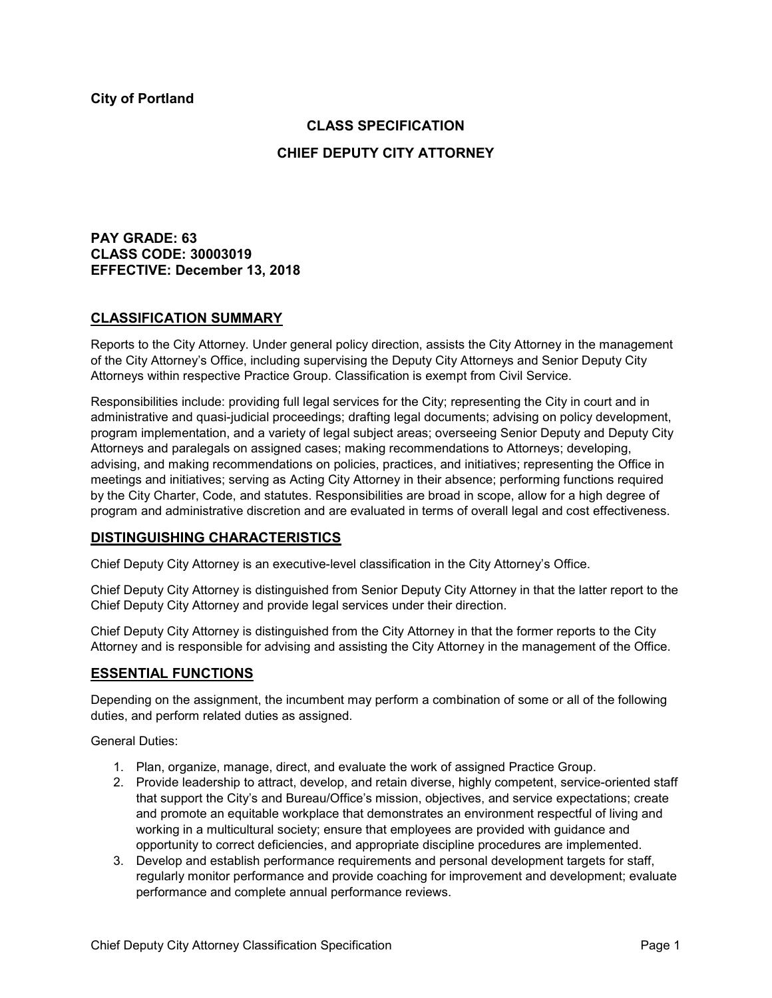# **CLASS SPECIFICATION**

### **CHIEF DEPUTY CITY ATTORNEY**

**PAY GRADE: 63 CLASS CODE: 30003019 EFFECTIVE: December 13, 2018**

### **CLASSIFICATION SUMMARY**

Reports to the City Attorney. Under general policy direction, assists the City Attorney in the management of the City Attorney's Office, including supervising the Deputy City Attorneys and Senior Deputy City Attorneys within respective Practice Group. Classification is exempt from Civil Service.

Responsibilities include: providing full legal services for the City; representing the City in court and in administrative and quasi-judicial proceedings; drafting legal documents; advising on policy development, program implementation, and a variety of legal subject areas; overseeing Senior Deputy and Deputy City Attorneys and paralegals on assigned cases; making recommendations to Attorneys; developing, advising, and making recommendations on policies, practices, and initiatives; representing the Office in meetings and initiatives; serving as Acting City Attorney in their absence; performing functions required by the City Charter, Code, and statutes. Responsibilities are broad in scope, allow for a high degree of program and administrative discretion and are evaluated in terms of overall legal and cost effectiveness.

#### **DISTINGUISHING CHARACTERISTICS**

Chief Deputy City Attorney is an executive-level classification in the City Attorney's Office.

Chief Deputy City Attorney is distinguished from Senior Deputy City Attorney in that the latter report to the Chief Deputy City Attorney and provide legal services under their direction.

Chief Deputy City Attorney is distinguished from the City Attorney in that the former reports to the City Attorney and is responsible for advising and assisting the City Attorney in the management of the Office.

#### **ESSENTIAL FUNCTIONS**

Depending on the assignment, the incumbent may perform a combination of some or all of the following duties, and perform related duties as assigned.

General Duties:

- 1. Plan, organize, manage, direct, and evaluate the work of assigned Practice Group.
- 2. Provide leadership to attract, develop, and retain diverse, highly competent, service-oriented staff that support the City's and Bureau/Office's mission, objectives, and service expectations; create and promote an equitable workplace that demonstrates an environment respectful of living and working in a multicultural society; ensure that employees are provided with guidance and opportunity to correct deficiencies, and appropriate discipline procedures are implemented.
- 3. Develop and establish performance requirements and personal development targets for staff, regularly monitor performance and provide coaching for improvement and development; evaluate performance and complete annual performance reviews.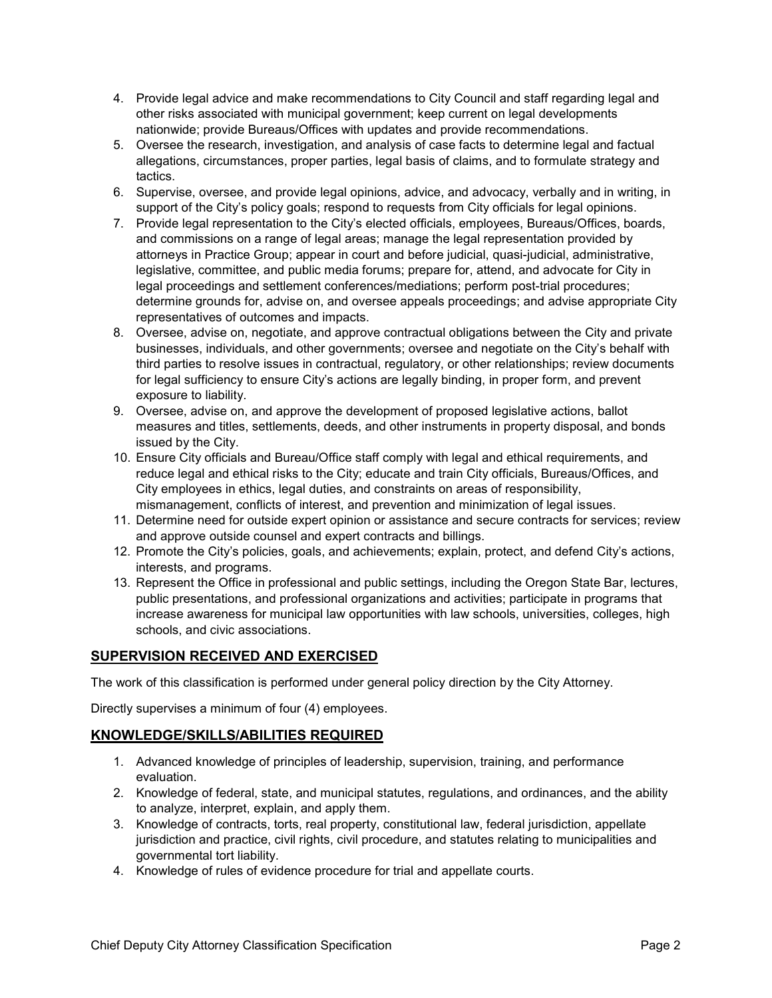- 4. Provide legal advice and make recommendations to City Council and staff regarding legal and other risks associated with municipal government; keep current on legal developments nationwide; provide Bureaus/Offices with updates and provide recommendations.
- 5. Oversee the research, investigation, and analysis of case facts to determine legal and factual allegations, circumstances, proper parties, legal basis of claims, and to formulate strategy and tactics.
- 6. Supervise, oversee, and provide legal opinions, advice, and advocacy, verbally and in writing, in support of the City's policy goals; respond to requests from City officials for legal opinions.
- 7. Provide legal representation to the City's elected officials, employees, Bureaus/Offices, boards, and commissions on a range of legal areas; manage the legal representation provided by attorneys in Practice Group; appear in court and before judicial, quasi-judicial, administrative, legislative, committee, and public media forums; prepare for, attend, and advocate for City in legal proceedings and settlement conferences/mediations; perform post-trial procedures; determine grounds for, advise on, and oversee appeals proceedings; and advise appropriate City representatives of outcomes and impacts.
- 8. Oversee, advise on, negotiate, and approve contractual obligations between the City and private businesses, individuals, and other governments; oversee and negotiate on the City's behalf with third parties to resolve issues in contractual, regulatory, or other relationships; review documents for legal sufficiency to ensure City's actions are legally binding, in proper form, and prevent exposure to liability.
- 9. Oversee, advise on, and approve the development of proposed legislative actions, ballot measures and titles, settlements, deeds, and other instruments in property disposal, and bonds issued by the City.
- 10. Ensure City officials and Bureau/Office staff comply with legal and ethical requirements, and reduce legal and ethical risks to the City; educate and train City officials, Bureaus/Offices, and City employees in ethics, legal duties, and constraints on areas of responsibility, mismanagement, conflicts of interest, and prevention and minimization of legal issues.
- 11. Determine need for outside expert opinion or assistance and secure contracts for services; review and approve outside counsel and expert contracts and billings.
- 12. Promote the City's policies, goals, and achievements; explain, protect, and defend City's actions, interests, and programs.
- 13. Represent the Office in professional and public settings, including the Oregon State Bar, lectures, public presentations, and professional organizations and activities; participate in programs that increase awareness for municipal law opportunities with law schools, universities, colleges, high schools, and civic associations.

# **SUPERVISION RECEIVED AND EXERCISED**

The work of this classification is performed under general policy direction by the City Attorney.

Directly supervises a minimum of four (4) employees.

# **KNOWLEDGE/SKILLS/ABILITIES REQUIRED**

- 1. Advanced knowledge of principles of leadership, supervision, training, and performance evaluation.
- 2. Knowledge of federal, state, and municipal statutes, regulations, and ordinances, and the ability to analyze, interpret, explain, and apply them.
- 3. Knowledge of contracts, torts, real property, constitutional law, federal jurisdiction, appellate jurisdiction and practice, civil rights, civil procedure, and statutes relating to municipalities and governmental tort liability.
- 4. Knowledge of rules of evidence procedure for trial and appellate courts.